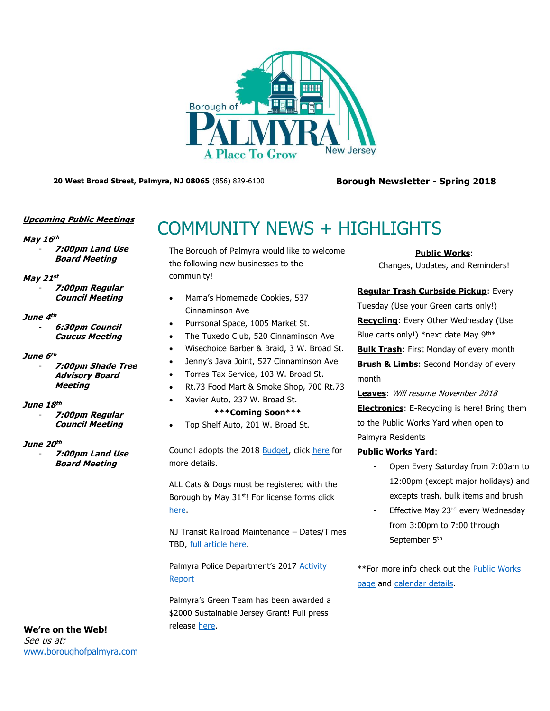

**20 West Broad Street, Palmyra, NJ 08065** (856) 829-6100 **Borough Newsletter - Spring 2018**

### **Upcoming Public Meetings**

### **May 16 th**

- **7:00pm Land Use Board Meeting**

### **May 21 st**

- **7:00pm Regular Council Meeting**

### **June 4 th**

- **6:30pm Council Caucus Meeting**

### **June 6 th**

- **7:00pm Shade Tree Advisory Board Meeting**

### **June 18 th**

- **7:00pm Regular Council Meeting**

### **June 20 th**

- **7:00pm Land Use Board Meeting**

**We're on the Web!** See us at: [www.boroughofpalmyra.com](file:///C:/Users/ballmond/AppData/Roaming/Microsoft/Word/www.boroughofpalmyra.com)

# COMMUNITY NEWS + HIGHLIGHTS

The Borough of Palmyra would like to welcome the following new businesses to the community!

- Mama's Homemade Cookies, 537 Cinnaminson Ave
- Purrsonal Space, 1005 Market St.
- The Tuxedo Club, 520 Cinnaminson Ave
- Wisechoice Barber & Braid, 3 W. Broad St.
- Jenny's Java Joint, 527 Cinnaminson Ave
- Torres Tax Service, 103 W. Broad St.
- Rt.73 Food Mart & Smoke Shop, 700 Rt.73
	- Xavier Auto, 237 W. Broad St.
		- **\*\*\*Coming Soon\*\*\***
- Top Shelf Auto, 201 W. Broad St.

Council adopts the 2018 [Budget,](http://boroughofpalmyra.com/2018-budget-message) click [here](http://boroughofpalmyra.com/2018-budget-message) for more details.

ALL Cats & Dogs must be registered with the Borough by May 31<sup>st</sup>! For license forms click [here.](http://boroughofpalmyra.com/wp-content/uploads/2013/04/PET-LICENSE-APP.pdf)

NJ Transit Railroad Maintenance – Dates/Times TBD, [full article here.](http://boroughofpalmyra.com/workin-on-the-railroad-all-the-livelong-night)

Palmyra Police Department's 2017 [Activity](http://boroughofpalmyra.com/wp-content/uploads/2018/02/PALMYRA-POLICE-DEPARTT-2017-Annual-Report.pdf)  [Report](http://boroughofpalmyra.com/wp-content/uploads/2018/02/PALMYRA-POLICE-DEPARTT-2017-Annual-Report.pdf)

Palmyra's Green Team has been awarded a \$2000 Sustainable Jersey Grant! Full press release [here.](http://boroughofpalmyra.com/wp-content/uploads/2018/05/2018-PSEG-SJ-2k-Grant-Recipient-Press-Release.pdf)

### **Public Works**:

Changes, Updates, and Reminders!

**Regular Trash Curbside Pickup**: Every

Tuesday (Use your Green carts only!) **Recycling**: Every Other Wednesday (Use

Blue carts only!) \*next date May 9<sup>th\*</sup>

**Bulk Trash**: First Monday of every month **Brush & Limbs:** Second Monday of every month

**Leaves**: Will resume November 2018 **Electronics**: E-Recycling is here! Bring them to the Public Works Yard when open to Palmyra Residents

### **Public Works Yard**:

- Open Every Saturday from 7:00am to 12:00pm (except major holidays) and excepts trash, bulk items and brush
- Effective May 23rd every Wednesday from 3:00pm to 7:00 through September 5<sup>th</sup>

\*\*For more info check out the [Public Works](http://boroughofpalmyra.com/departments/public-works-and-sewer)  [page](http://boroughofpalmyra.com/departments/public-works-and-sewer) and [calendar details.](https://calendar.google.com/calendar/embed?src=9874escatkkqpovui1upb97hv4@group.calendar.google.com&ctz=America/New_York)